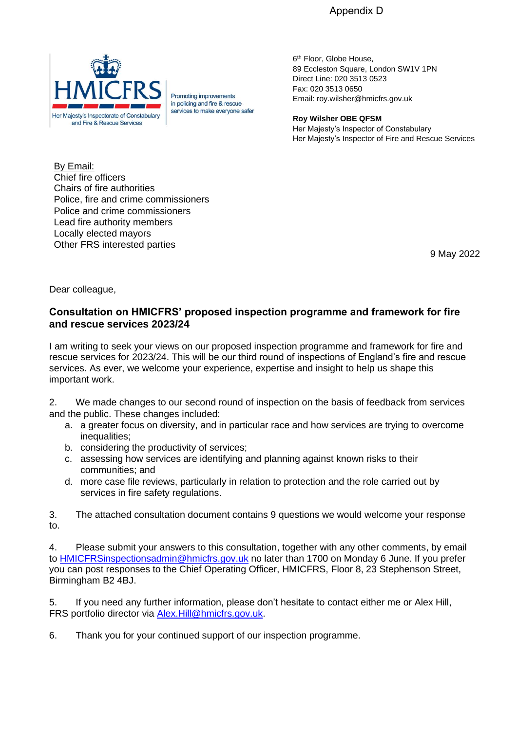Appendix D



Promoting improvements in policing and fire & rescue services to make everyone safer

6<sup>th</sup> Floor, Globe House, 89 Eccleston Square, London SW1V 1PN Direct Line: 020 3513 0523 Fax: 020 3513 0650 Email: roy.wilsher@hmicfrs.gov.uk

**Roy Wilsher OBE QFSM** Her Majesty's Inspector of Constabulary Her Majesty's Inspector of Fire and Rescue Services

By Email: Chief fire officers Chairs of fire authorities Police, fire and crime commissioners Police and crime commissioners Lead fire authority members Locally elected mayors Other FRS interested parties

9 May 2022

Dear colleague,

## **Consultation on HMICFRS' proposed inspection programme and framework for fire and rescue services 2023/24**

I am writing to seek your views on our proposed inspection programme and framework for fire and rescue services for 2023/24. This will be our third round of inspections of England's fire and rescue services. As ever, we welcome your experience, expertise and insight to help us shape this important work.

2. We made changes to our second round of inspection on the basis of feedback from services and the public. These changes included:

- a. a greater focus on diversity, and in particular race and how services are trying to overcome inequalities:
- b. considering the productivity of services;
- c. assessing how services are identifying and planning against known risks to their communities; and
- d. more case file reviews, particularly in relation to protection and the role carried out by services in fire safety regulations.

3. The attached consultation document contains 9 questions we would welcome your response to.

4. Please submit your answers to this consultation, together with any other comments, by email to [HMICFRSinspectionsadmin@hmicfrs.gov.uk](mailto:HMICFRSinspectionsadmin@hmicfrs.gov.uk) no later than 1700 on Monday 6 June. If you prefer you can post responses to the Chief Operating Officer, HMICFRS, Floor 8, 23 Stephenson Street, Birmingham B2 4BJ.

5. If you need any further information, please don't hesitate to contact either me or Alex Hill, FRS portfolio director via [Alex.Hill@hmicfrs.gov.uk.](mailto:Alex.Hill@hmicfrs.gov.uk)

6. Thank you for your continued support of our inspection programme.